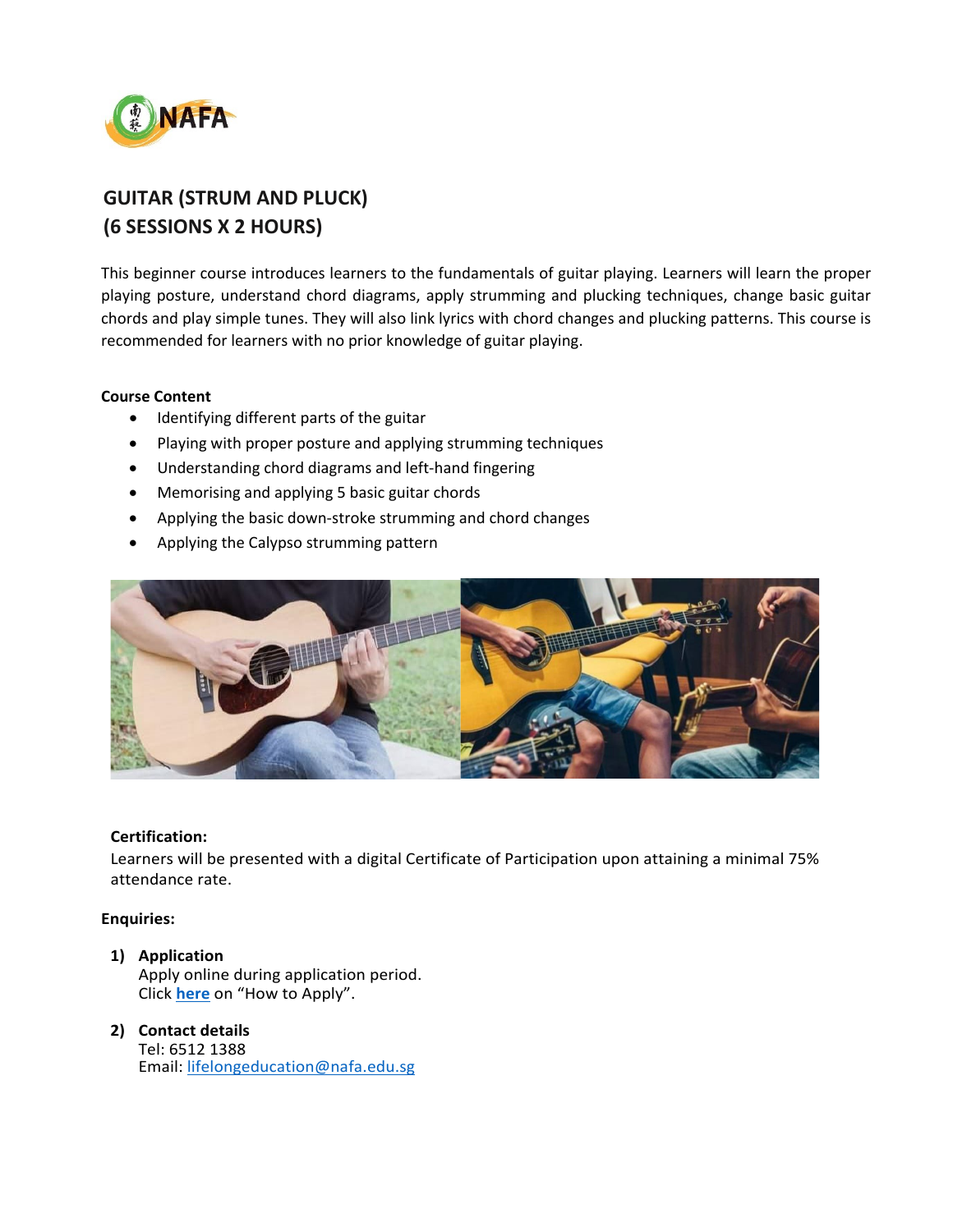

# **GUITAR (STRUM AND PLUCK) (6 SESSIONS X 2 HOURS)**

This beginner course introduces learners to the fundamentals of guitar playing. Learners will learn the proper playing posture, understand chord diagrams, apply strumming and plucking techniques, change basic guitar chords and play simple tunes. They will also link lyrics with chord changes and plucking patterns. This course is recommended for learners with no prior knowledge of guitar playing.

### **Course Content**

- Identifying different parts of the guitar
- Playing with proper posture and applying strumming techniques
- Understanding chord diagrams and left-hand fingering
- Memorising and applying 5 basic guitar chords
- Applying the basic down-stroke strumming and chord changes
- Applying the Calypso strumming pattern



#### **Certification:**

Learners will be presented with a digital Certificate of Participation upon attaining a minimal 75% attendance rate.

#### **Enquiries:**

**1) Application** Apply online during application period. Click **[here](https://www.nafa.edu.sg/courses/part-time/short-courses#collapseFive)** on "How to Apply".

## **2) Contact details**

Tel: 6512 1388 Email: [lifelongeducation@nafa.edu.sg](mailto:lifelongeducation@nafa.edu.sg)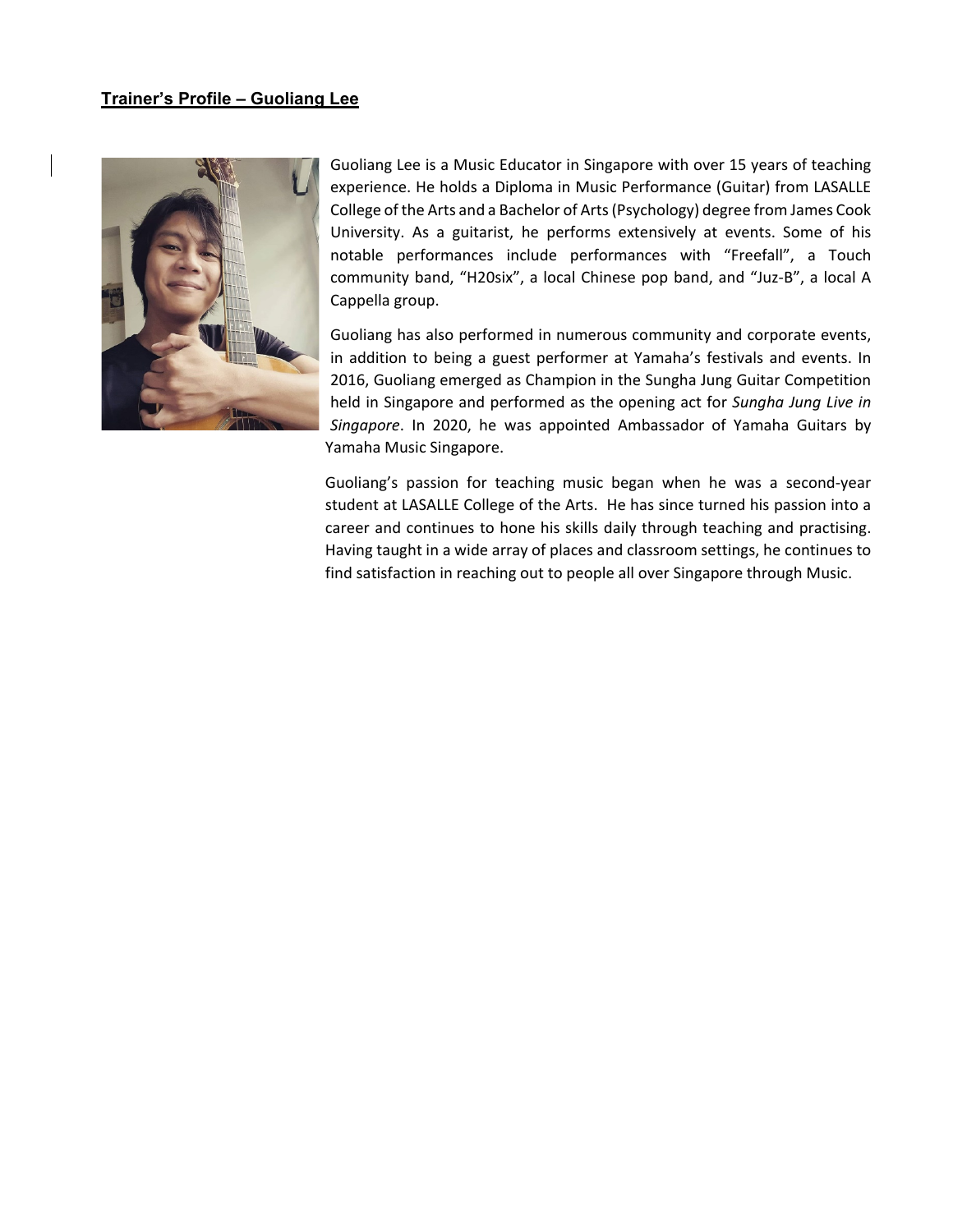## **Trainer's Profile – Guoliang Lee**



Guoliang Lee is a Music Educator in Singapore with over 15 years of teaching experience. He holds a Diploma in Music Performance (Guitar) from LASALLE College of the Arts and a Bachelor of Arts (Psychology) degree from James Cook University. As a guitarist, he performs extensively at events. Some of his notable performances include performances with "Freefall", a Touch community band, "H20six", a local Chinese pop band, and "Juz-B", a local A Cappella group.

Guoliang has also performed in numerous community and corporate events, in addition to being a guest performer at Yamaha's festivals and events. In 2016, Guoliang emerged as Champion in the Sungha Jung Guitar Competition held in Singapore and performed as the opening act for *Sungha Jung Live in Singapore*. In 2020, he was appointed Ambassador of Yamaha Guitars by Yamaha Music Singapore.

Guoliang's passion for teaching music began when he was a second-year student at LASALLE College of the Arts. He has since turned his passion into a career and continues to hone his skills daily through teaching and practising. Having taught in a wide array of places and classroom settings, he continues to find satisfaction in reaching out to people all over Singapore through Music.